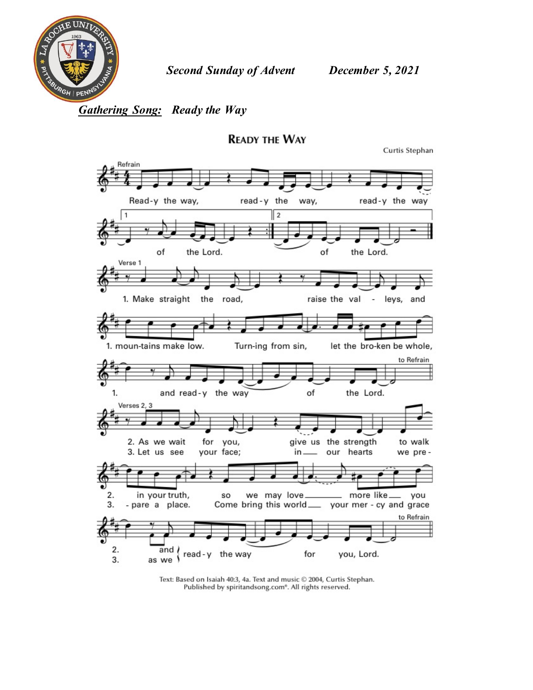

*Gathering Song: Ready the Way*

Refrain Read-y the way, read-y the read-y the way way,  $\sqrt{2}$  $\mathbf 1$ of the Lord. the Lord. of Verse 1 1. Make straight the road, raise the val leys, and  $\sim$ 1. moun-tains make low. Turn-ing from sin, let the bro-ken be whole, to Refrain of the Lord. 1. and read-y the way Verses 2, 3 give us the strength for you, 2. As we wait to walk your face; our hearts 3. Let us see we prein. 2. in your truth, we may love. more like\_ you so 3. - pare a place. Come bring this world\_ your mer - cy and grace to Refrain 2.  $\overline{a}$ nd for read-y the way you, Lord. 3. as we ١

**READY THE WAY** 

Curtis Stephan

Text: Based on Isaiah 40:3, 4a. Text and music @ 2004, Curtis Stephan. Published by spiritandsong.com<sup>®</sup>. All rights reserved.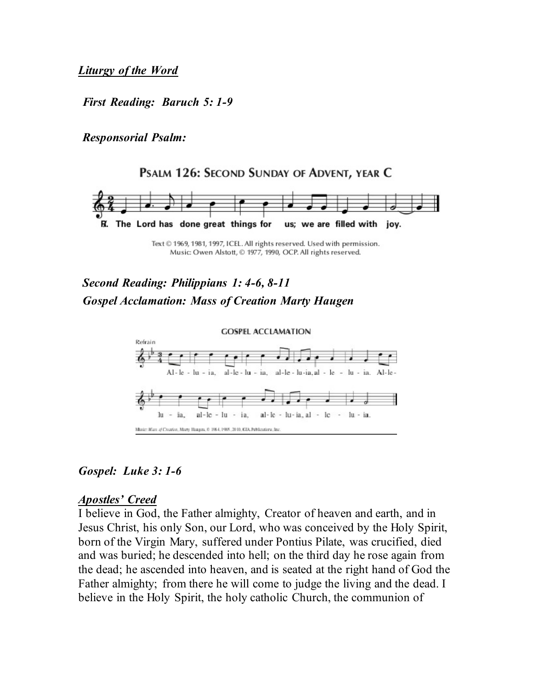#### *Liturgy of the Word*

*First Reading: Baruch 5: 1-9*

#### *Responsorial Psalm:*

# PSALM 126: SECOND SUNDAY OF ADVENT, YEAR C R. The Lord has done great things for us; we are filled with joy.

## *Second Reading: Philippians 1: 4-6, 8-11 Gospel Acclamation: Mass of Creation Marty Haugen*



### *Gospel: Luke 3: 1-6*

#### *Apostles' Creed*

I believe in God, the Father almighty, Creator of heaven and earth, and in Jesus Christ, his only Son, our Lord, who was conceived by the Holy Spirit, born of the Virgin Mary, suffered under Pontius Pilate, was crucified, died and was buried; he descended into hell; on the third day he rose again from the dead; he ascended into heaven, and is seated at the right hand of God the Father almighty; from there he will come to judge the living and the dead. I believe in the Holy Spirit, the holy catholic Church, the communion of

Text © 1969, 1981, 1997, ICEL. All rights reserved. Used with permission. Music: Owen Alstott, @ 1977, 1990, OCP. All rights reserved.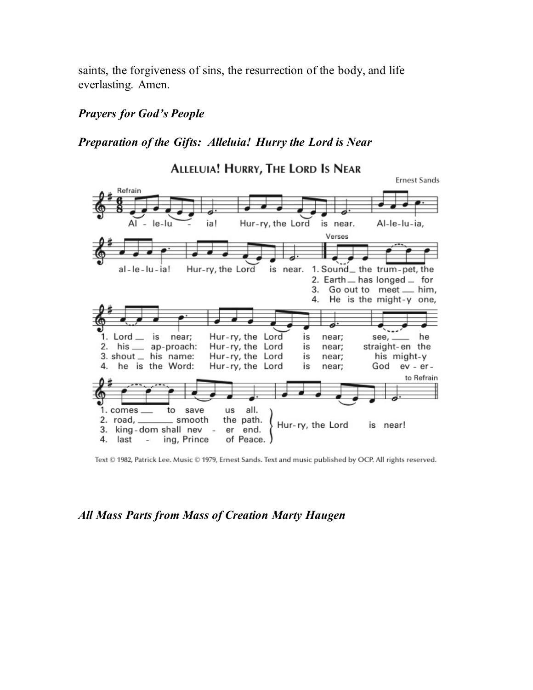saints, the forgiveness of sins, the resurrection of the body, and life everlasting. Amen.

### *Prayers for God's People*

#### *Preparation of the Gifts: Alleluia! Hurry the Lord is Near*



Text @ 1982, Patrick Lee. Music @ 1979, Ernest Sands. Text and music published by OCP. All rights reserved.

### *All Mass Parts from Mass of Creation Marty Haugen*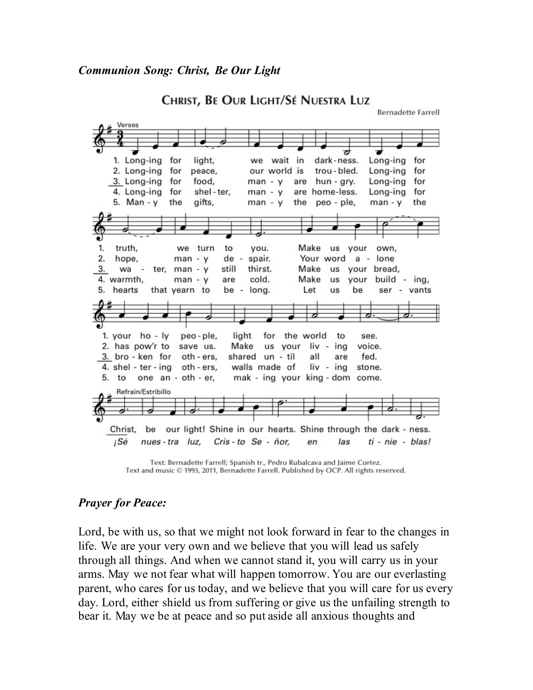

#### CHRIST, BE OUR LIGHT/SÉ NUESTRA LUZ

**Bernadette Farrell** 

Text: Bernadette Farrell; Spanish tr., Pedro Rubalcava and Jaime Cortez. Text and music © 1993, 2011, Bernadette Farrell. Published by OCP. All rights reserved.

#### *Prayer for Peace:*

Lord, be with us, so that we might not look forward in fear to the changes in life. We are your very own and we believe that you will lead us safely through all things. And when we cannot stand it, you will carry us in your arms. May we not fear what will happen tomorrow. You are our everlasting parent, who cares for us today, and we believe that you will care for us every day. Lord, either shield us from suffering or give us the unfailing strength to bear it. May we be at peace and so put aside all anxious thoughts and